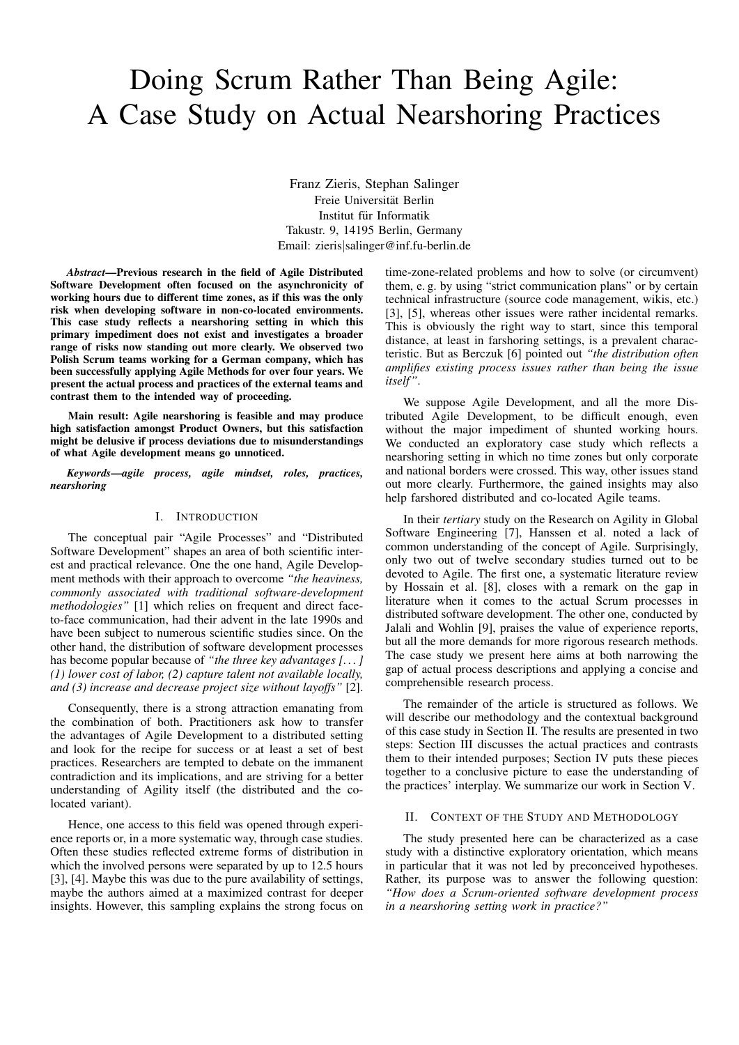# Doing Scrum Rather Than Being Agile: A Case Study on Actual Nearshoring Practices

Franz Zieris, Stephan Salinger Freie Universitat Berlin ¨ Institut für Informatik Takustr. 9, 14195 Berlin, Germany Email: zieris|salinger@inf.fu-berlin.de

*Abstract*—Previous research in the field of Agile Distributed Software Development often focused on the asynchronicity of working hours due to different time zones, as if this was the only risk when developing software in non-co-located environments. This case study reflects a nearshoring setting in which this primary impediment does not exist and investigates a broader range of risks now standing out more clearly. We observed two Polish Scrum teams working for a German company, which has been successfully applying Agile Methods for over four years. We present the actual process and practices of the external teams and contrast them to the intended way of proceeding.

Main result: Agile nearshoring is feasible and may produce high satisfaction amongst Product Owners, but this satisfaction might be delusive if process deviations due to misunderstandings of what Agile development means go unnoticed.

*Keywords*—*agile process, agile mindset, roles, practices, nearshoring*

## I. INTRODUCTION

The conceptual pair "Agile Processes" and "Distributed Software Development" shapes an area of both scientific interest and practical relevance. One the one hand, Agile Development methods with their approach to overcome *"the heaviness, commonly associated with traditional software-development methodologies*" [1] which relies on frequent and direct faceto-face communication, had their advent in the late 1990s and have been subject to numerous scientific studies since. On the other hand, the distribution of software development processes has become popular because of *"the three key advantages [. . . ] (1) lower cost of labor, (2) capture talent not available locally, and (3) increase and decrease project size without layoffs"* [2].

Consequently, there is a strong attraction emanating from the combination of both. Practitioners ask how to transfer the advantages of Agile Development to a distributed setting and look for the recipe for success or at least a set of best practices. Researchers are tempted to debate on the immanent contradiction and its implications, and are striving for a better understanding of Agility itself (the distributed and the colocated variant).

Hence, one access to this field was opened through experience reports or, in a more systematic way, through case studies. Often these studies reflected extreme forms of distribution in which the involved persons were separated by up to 12.5 hours [3], [4]. Maybe this was due to the pure availability of settings, maybe the authors aimed at a maximized contrast for deeper insights. However, this sampling explains the strong focus on time-zone-related problems and how to solve (or circumvent) them, e. g. by using "strict communication plans" or by certain technical infrastructure (source code management, wikis, etc.) [3], [5], whereas other issues were rather incidental remarks. This is obviously the right way to start, since this temporal distance, at least in farshoring settings, is a prevalent characteristic. But as Berczuk [6] pointed out *"the distribution often amplifies existing process issues rather than being the issue itself"*.

We suppose Agile Development, and all the more Distributed Agile Development, to be difficult enough, even without the major impediment of shunted working hours. We conducted an exploratory case study which reflects a nearshoring setting in which no time zones but only corporate and national borders were crossed. This way, other issues stand out more clearly. Furthermore, the gained insights may also help farshored distributed and co-located Agile teams.

In their *tertiary* study on the Research on Agility in Global Software Engineering [7], Hanssen et al. noted a lack of common understanding of the concept of Agile. Surprisingly, only two out of twelve secondary studies turned out to be devoted to Agile. The first one, a systematic literature review by Hossain et al. [8], closes with a remark on the gap in literature when it comes to the actual Scrum processes in distributed software development. The other one, conducted by Jalali and Wohlin [9], praises the value of experience reports, but all the more demands for more rigorous research methods. The case study we present here aims at both narrowing the gap of actual process descriptions and applying a concise and comprehensible research process.

The remainder of the article is structured as follows. We will describe our methodology and the contextual background of this case study in Section II. The results are presented in two steps: Section III discusses the actual practices and contrasts them to their intended purposes; Section IV puts these pieces together to a conclusive picture to ease the understanding of the practices' interplay. We summarize our work in Section V.

#### II. CONTEXT OF THE STUDY AND METHODOLOGY

The study presented here can be characterized as a case study with a distinctive exploratory orientation, which means in particular that it was not led by preconceived hypotheses. Rather, its purpose was to answer the following question: *"How does a Scrum-oriented software development process in a nearshoring setting work in practice?"*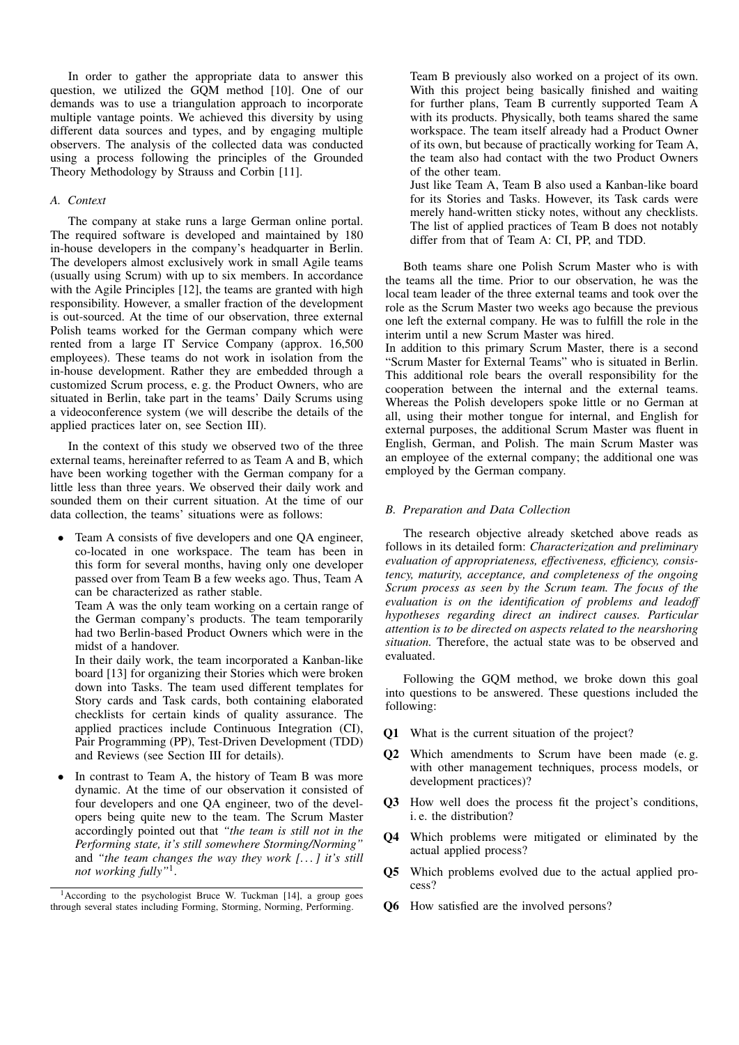In order to gather the appropriate data to answer this question, we utilized the GQM method [10]. One of our demands was to use a triangulation approach to incorporate multiple vantage points. We achieved this diversity by using different data sources and types, and by engaging multiple observers. The analysis of the collected data was conducted using a process following the principles of the Grounded Theory Methodology by Strauss and Corbin [11].

#### *A. Context*

The company at stake runs a large German online portal. The required software is developed and maintained by 180 in-house developers in the company's headquarter in Berlin. The developers almost exclusively work in small Agile teams (usually using Scrum) with up to six members. In accordance with the Agile Principles [12], the teams are granted with high responsibility. However, a smaller fraction of the development is out-sourced. At the time of our observation, three external Polish teams worked for the German company which were rented from a large IT Service Company (approx. 16,500 employees). These teams do not work in isolation from the in-house development. Rather they are embedded through a customized Scrum process, e. g. the Product Owners, who are situated in Berlin, take part in the teams' Daily Scrums using a videoconference system (we will describe the details of the applied practices later on, see Section III).

In the context of this study we observed two of the three external teams, hereinafter referred to as Team A and B, which have been working together with the German company for a little less than three years. We observed their daily work and sounded them on their current situation. At the time of our data collection, the teams' situations were as follows:

Team A consists of five developers and one QA engineer, co-located in one workspace. The team has been in this form for several months, having only one developer passed over from Team B a few weeks ago. Thus, Team A can be characterized as rather stable.

Team A was the only team working on a certain range of the German company's products. The team temporarily had two Berlin-based Product Owners which were in the midst of a handover.

In their daily work, the team incorporated a Kanban-like board [13] for organizing their Stories which were broken down into Tasks. The team used different templates for Story cards and Task cards, both containing elaborated checklists for certain kinds of quality assurance. The applied practices include Continuous Integration (CI), Pair Programming (PP), Test-Driven Development (TDD) and Reviews (see Section III for details).

In contrast to Team A, the history of Team B was more dynamic. At the time of our observation it consisted of four developers and one QA engineer, two of the developers being quite new to the team. The Scrum Master accordingly pointed out that *"the team is still not in the Performing state, it's still somewhere Storming/Norming"* and *"the team changes the way they work [. . . ] it's still not working fully"*<sup>1</sup> .

Team B previously also worked on a project of its own. With this project being basically finished and waiting for further plans, Team B currently supported Team A with its products. Physically, both teams shared the same workspace. The team itself already had a Product Owner of its own, but because of practically working for Team A, the team also had contact with the two Product Owners of the other team.

Just like Team A, Team B also used a Kanban-like board for its Stories and Tasks. However, its Task cards were merely hand-written sticky notes, without any checklists. The list of applied practices of Team B does not notably differ from that of Team A: CI, PP, and TDD.

Both teams share one Polish Scrum Master who is with the teams all the time. Prior to our observation, he was the local team leader of the three external teams and took over the role as the Scrum Master two weeks ago because the previous one left the external company. He was to fulfill the role in the interim until a new Scrum Master was hired.

In addition to this primary Scrum Master, there is a second "Scrum Master for External Teams" who is situated in Berlin. This additional role bears the overall responsibility for the cooperation between the internal and the external teams. Whereas the Polish developers spoke little or no German at all, using their mother tongue for internal, and English for external purposes, the additional Scrum Master was fluent in English, German, and Polish. The main Scrum Master was an employee of the external company; the additional one was employed by the German company.

## *B. Preparation and Data Collection*

The research objective already sketched above reads as follows in its detailed form: *Characterization and preliminary evaluation of appropriateness, effectiveness, efficiency, consistency, maturity, acceptance, and completeness of the ongoing Scrum process as seen by the Scrum team. The focus of the evaluation is on the identification of problems and leadoff hypotheses regarding direct an indirect causes. Particular attention is to be directed on aspects related to the nearshoring situation.* Therefore, the actual state was to be observed and evaluated.

Following the GQM method, we broke down this goal into questions to be answered. These questions included the following:

- Q1 What is the current situation of the project?
- Q2 Which amendments to Scrum have been made (e. g. with other management techniques, process models, or development practices)?
- Q3 How well does the process fit the project's conditions, i. e. the distribution?
- Q4 Which problems were mitigated or eliminated by the actual applied process?
- Q5 Which problems evolved due to the actual applied process?
- Q6 How satisfied are the involved persons?

 $1$ According to the psychologist Bruce W. Tuckman [14], a group goes through several states including Forming, Storming, Norming, Performing.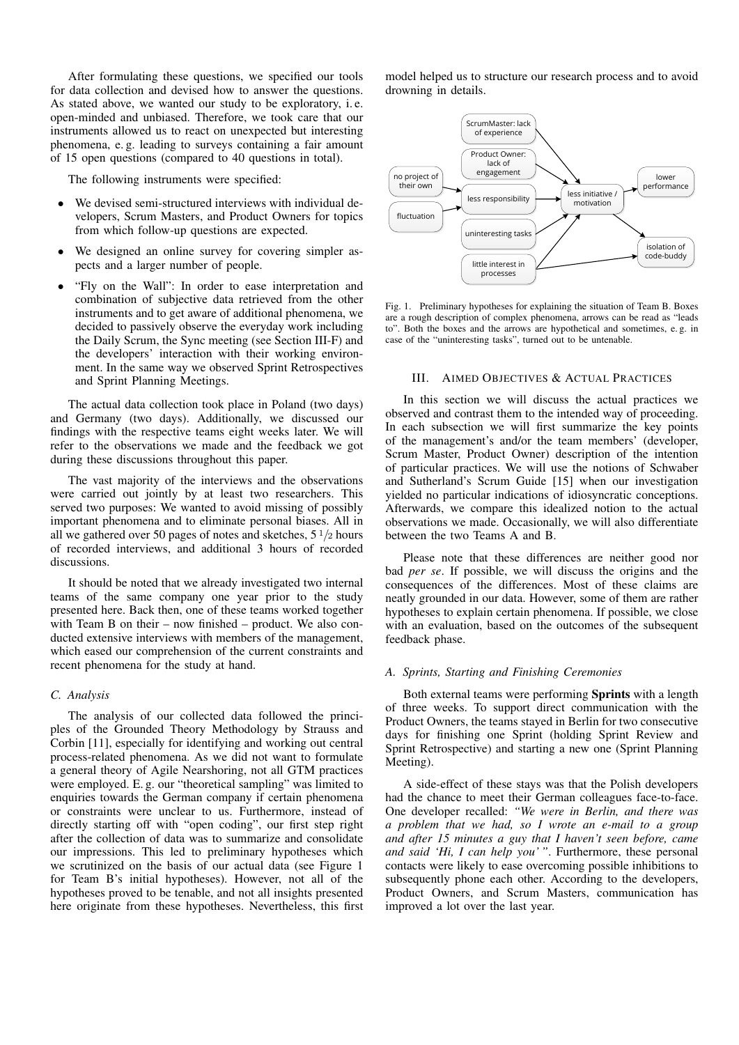After formulating these questions, we specified our tools for data collection and devised how to answer the questions. As stated above, we wanted our study to be exploratory, i. e. open-minded and unbiased. Therefore, we took care that our instruments allowed us to react on unexpected but interesting phenomena, e. g. leading to surveys containing a fair amount of 15 open questions (compared to 40 questions in total).

The following instruments were specified:

- We devised semi-structured interviews with individual developers, Scrum Masters, and Product Owners for topics from which follow-up questions are expected.
- We designed an online survey for covering simpler aspects and a larger number of people.
- "Fly on the Wall": In order to ease interpretation and combination of subjective data retrieved from the other instruments and to get aware of additional phenomena, we decided to passively observe the everyday work including the Daily Scrum, the Sync meeting (see Section III-F) and the developers' interaction with their working environment. In the same way we observed Sprint Retrospectives and Sprint Planning Meetings.

The actual data collection took place in Poland (two days) and Germany (two days). Additionally, we discussed our findings with the respective teams eight weeks later. We will refer to the observations we made and the feedback we got during these discussions throughout this paper.

The vast majority of the interviews and the observations were carried out jointly by at least two researchers. This served two purposes: We wanted to avoid missing of possibly important phenomena and to eliminate personal biases. All in all we gathered over 50 pages of notes and sketches,  $5\frac{1}{2}$  hours of recorded interviews, and additional 3 hours of recorded discussions.

It should be noted that we already investigated two internal teams of the same company one year prior to the study presented here. Back then, one of these teams worked together with Team B on their – now finished – product. We also conducted extensive interviews with members of the management, which eased our comprehension of the current constraints and recent phenomena for the study at hand.

## *C. Analysis*

The analysis of our collected data followed the principles of the Grounded Theory Methodology by Strauss and Corbin [11], especially for identifying and working out central process-related phenomena. As we did not want to formulate a general theory of Agile Nearshoring, not all GTM practices were employed. E. g. our "theoretical sampling" was limited to enquiries towards the German company if certain phenomena or constraints were unclear to us. Furthermore, instead of directly starting off with "open coding", our first step right after the collection of data was to summarize and consolidate our impressions. This led to preliminary hypotheses which we scrutinized on the basis of our actual data (see Figure 1 for Team B's initial hypotheses). However, not all of the hypotheses proved to be tenable, and not all insights presented here originate from these hypotheses. Nevertheless, this first model helped us to structure our research process and to avoid drowning in details.



Fig. 1. Preliminary hypotheses for explaining the situation of Team B. Boxes are a rough description of complex phenomena, arrows can be read as "leads to". Both the boxes and the arrows are hypothetical and sometimes, e. g. in case of the "uninteresting tasks", turned out to be untenable.

# III. AIMED OBJECTIVES & ACTUAL PRACTICES

In this section we will discuss the actual practices we observed and contrast them to the intended way of proceeding. In each subsection we will first summarize the key points of the management's and/or the team members' (developer, Scrum Master, Product Owner) description of the intention of particular practices. We will use the notions of Schwaber and Sutherland's Scrum Guide [15] when our investigation yielded no particular indications of idiosyncratic conceptions. Afterwards, we compare this idealized notion to the actual observations we made. Occasionally, we will also differentiate between the two Teams A and B.

Please note that these differences are neither good nor bad *per se*. If possible, we will discuss the origins and the consequences of the differences. Most of these claims are neatly grounded in our data. However, some of them are rather hypotheses to explain certain phenomena. If possible, we close with an evaluation, based on the outcomes of the subsequent feedback phase.

#### *A. Sprints, Starting and Finishing Ceremonies*

Both external teams were performing Sprints with a length of three weeks. To support direct communication with the Product Owners, the teams stayed in Berlin for two consecutive days for finishing one Sprint (holding Sprint Review and Sprint Retrospective) and starting a new one (Sprint Planning Meeting).

A side-effect of these stays was that the Polish developers had the chance to meet their German colleagues face-to-face. One developer recalled: *"We were in Berlin, and there was a problem that we had, so I wrote an e-mail to a group and after 15 minutes a guy that I haven't seen before, came and said 'Hi, I can help you' "*. Furthermore, these personal contacts were likely to ease overcoming possible inhibitions to subsequently phone each other. According to the developers, Product Owners, and Scrum Masters, communication has improved a lot over the last year.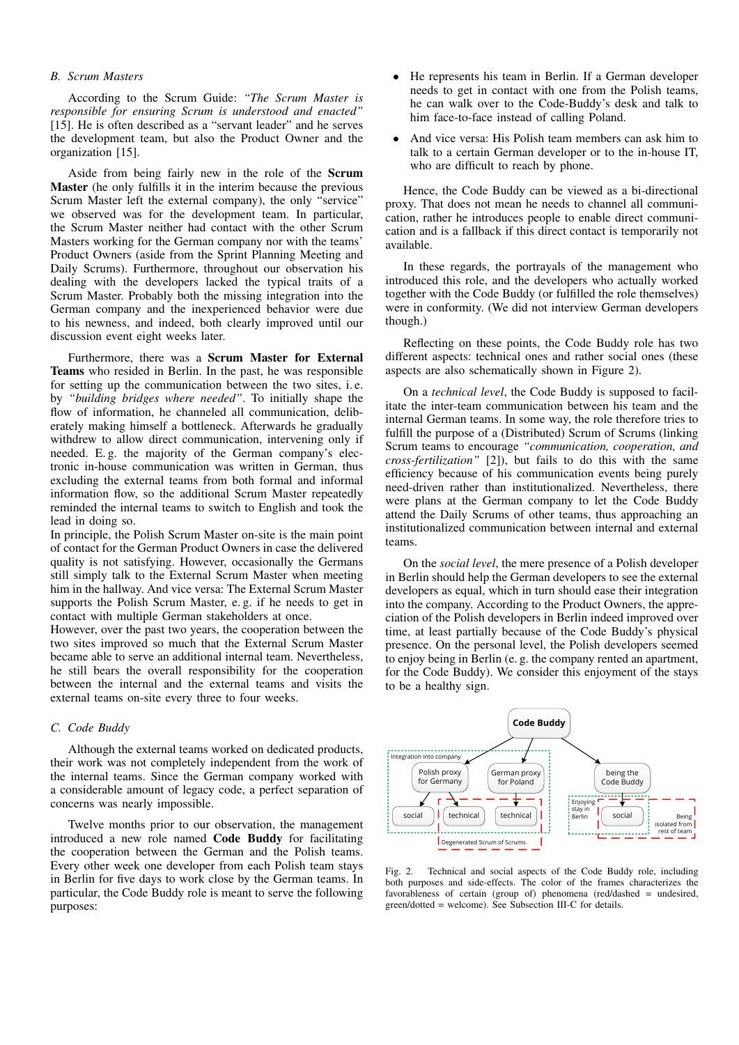## *B. Scrum Masters*

According to the Scrum Guide: *"The Scrum Master is responsible for ensuring Scrum is understood and enacted"* [15]. He is often described as a "servant leader" and he serves the development team, but also the Product Owner and the organization [15].

Aside from being fairly new in the role of the Scrum Master (he only fulfills it in the interim because the previous Scrum Master left the external company), the only "service" we observed was for the development team. In particular, the Scrum Master neither had contact with the other Scrum Masters working for the German company nor with the teams' Product Owners (aside from the Sprint Planning Meeting and Daily Scrums). Furthermore, throughout our observation his dealing with the developers lacked the typical traits of a Scrum Master. Probably both the missing integration into the German company and the inexperienced behavior were due to his newness, and indeed, both clearly improved until our discussion event eight weeks later.

Furthermore, there was a Scrum Master for External Teams who resided in Berlin. In the past, he was responsible for setting up the communication between the two sites, i. e. by *"building bridges where needed"*. To initially shape the flow of information, he channeled all communication, deliberately making himself a bottleneck. Afterwards he gradually withdrew to allow direct communication, intervening only if needed. E. g. the majority of the German company's electronic in-house communication was written in German, thus excluding the external teams from both formal and informal information flow, so the additional Scrum Master repeatedly reminded the internal teams to switch to English and took the lead in doing so.

In principle, the Polish Scrum Master on-site is the main point of contact for the German Product Owners in case the delivered quality is not satisfying. However, occasionally the Germans still simply talk to the External Scrum Master when meeting him in the hallway. And vice versa: The External Scrum Master supports the Polish Scrum Master, e. g. if he needs to get in contact with multiple German stakeholders at once.

However, over the past two years, the cooperation between the two sites improved so much that the External Scrum Master became able to serve an additional internal team. Nevertheless, he still bears the overall responsibility for the cooperation between the internal and the external teams and visits the external teams on-site every three to four weeks.

#### *C. Code Buddy*

Although the external teams worked on dedicated products, their work was not completely independent from the work of the internal teams. Since the German company worked with a considerable amount of legacy code, a perfect separation of concerns was nearly impossible.

Twelve months prior to our observation, the management introduced a new role named Code Buddy for facilitating the cooperation between the German and the Polish teams. Every other week one developer from each Polish team stays in Berlin for five days to work close by the German teams. In particular, the Code Buddy role is meant to serve the following purposes:

- He represents his team in Berlin. If a German developer needs to get in contact with one from the Polish teams, he can walk over to the Code-Buddy's desk and talk to him face-to-face instead of calling Poland.
- And vice versa: His Polish team members can ask him to talk to a certain German developer or to the in-house IT, who are difficult to reach by phone.

Hence, the Code Buddy can be viewed as a bi-directional proxy. That does not mean he needs to channel all communication, rather he introduces people to enable direct communication and is a fallback if this direct contact is temporarily not available.

In these regards, the portrayals of the management who introduced this role, and the developers who actually worked together with the Code Buddy (or fulfilled the role themselves) were in conformity. (We did not interview German developers though.)

Reflecting on these points, the Code Buddy role has two different aspects: technical ones and rather social ones (these aspects are also schematically shown in Figure 2).

On a *technical level*, the Code Buddy is supposed to facilitate the inter-team communication between his team and the internal German teams. In some way, the role therefore tries to fulfill the purpose of a (Distributed) Scrum of Scrums (linking Scrum teams to encourage *"communication, cooperation, and cross-fertilization"* [2]), but fails to do this with the same efficiency because of his communication events being purely need-driven rather than institutionalized. Nevertheless, there were plans at the German company to let the Code Buddy attend the Daily Scrums of other teams, thus approaching an institutionalized communication between internal and external teams.

On the *social level*, the mere presence of a Polish developer in Berlin should help the German developers to see the external developers as equal, which in turn should ease their integration into the company. According to the Product Owners, the appreciation of the Polish developers in Berlin indeed improved over time, at least partially because of the Code Buddy's physical presence. On the personal level, the Polish developers seemed to enjoy being in Berlin (e. g. the company rented an apartment, for the Code Buddy). We consider this enjoyment of the stays to be a healthy sign.



Fig. 2. Technical and social aspects of the Code Buddy role, including both purposes and side-effects. The color of the frames characterizes the favorableness of certain (group of) phenomena (red/dashed = undesired, green/dotted = welcome). See Subsection III-C for details.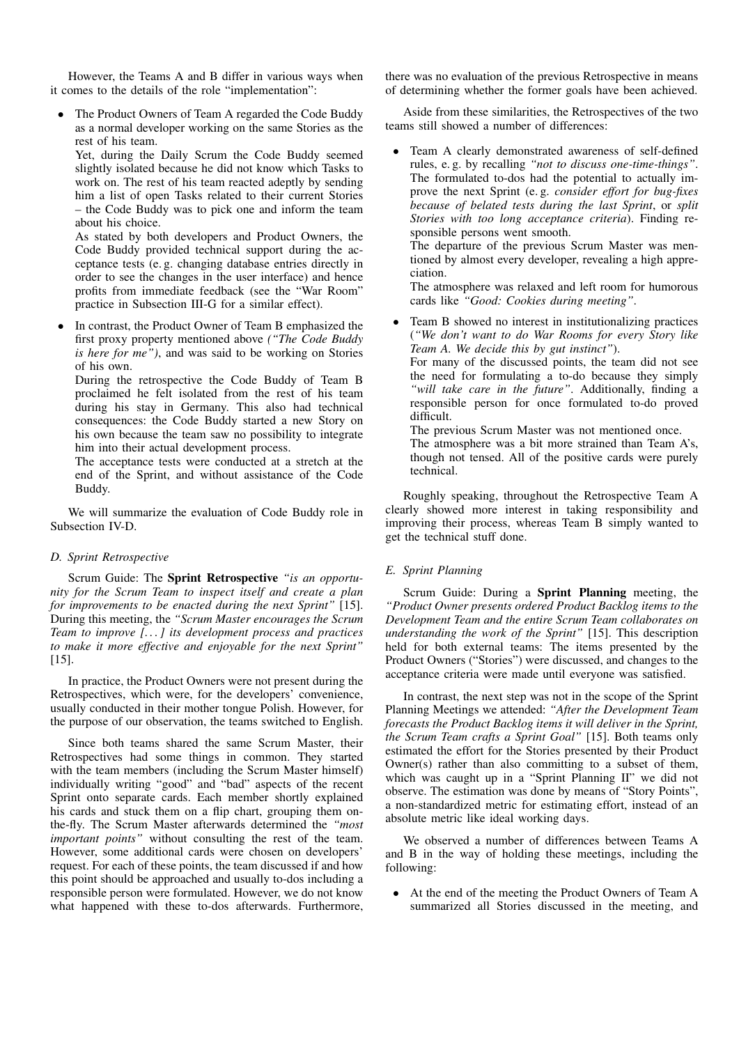However, the Teams A and B differ in various ways when it comes to the details of the role "implementation":

The Product Owners of Team A regarded the Code Buddy as a normal developer working on the same Stories as the rest of his team.

Yet, during the Daily Scrum the Code Buddy seemed slightly isolated because he did not know which Tasks to work on. The rest of his team reacted adeptly by sending him a list of open Tasks related to their current Stories – the Code Buddy was to pick one and inform the team about his choice.

As stated by both developers and Product Owners, the Code Buddy provided technical support during the acceptance tests (e. g. changing database entries directly in order to see the changes in the user interface) and hence profits from immediate feedback (see the "War Room" practice in Subsection III-G for a similar effect).

In contrast, the Product Owner of Team B emphasized the first proxy property mentioned above *("The Code Buddy is here for me")*, and was said to be working on Stories of his own.

During the retrospective the Code Buddy of Team B proclaimed he felt isolated from the rest of his team during his stay in Germany. This also had technical consequences: the Code Buddy started a new Story on his own because the team saw no possibility to integrate him into their actual development process.

The acceptance tests were conducted at a stretch at the end of the Sprint, and without assistance of the Code Buddy.

We will summarize the evaluation of Code Buddy role in Subsection IV-D.

# *D. Sprint Retrospective*

Scrum Guide: The Sprint Retrospective *"is an opportunity for the Scrum Team to inspect itself and create a plan for improvements to be enacted during the next Sprint"* [15]. During this meeting, the *"Scrum Master encourages the Scrum Team to improve [. . . ] its development process and practices to make it more effective and enjoyable for the next Sprint"* [15].

In practice, the Product Owners were not present during the Retrospectives, which were, for the developers' convenience, usually conducted in their mother tongue Polish. However, for the purpose of our observation, the teams switched to English.

Since both teams shared the same Scrum Master, their Retrospectives had some things in common. They started with the team members (including the Scrum Master himself) individually writing "good" and "bad" aspects of the recent Sprint onto separate cards. Each member shortly explained his cards and stuck them on a flip chart, grouping them onthe-fly. The Scrum Master afterwards determined the *"most important points"* without consulting the rest of the team. However, some additional cards were chosen on developers' request. For each of these points, the team discussed if and how this point should be approached and usually to-dos including a responsible person were formulated. However, we do not know what happened with these to-dos afterwards. Furthermore, there was no evaluation of the previous Retrospective in means of determining whether the former goals have been achieved.

Aside from these similarities, the Retrospectives of the two teams still showed a number of differences:

• Team A clearly demonstrated awareness of self-defined rules, e. g. by recalling *"not to discuss one-time-things"*. The formulated to-dos had the potential to actually improve the next Sprint (e. g. *consider effort for bug-fixes because of belated tests during the last Sprint*, or *split Stories with too long acceptance criteria*). Finding responsible persons went smooth.

The departure of the previous Scrum Master was mentioned by almost every developer, revealing a high appreciation.

The atmosphere was relaxed and left room for humorous cards like *"Good: Cookies during meeting"*.

Team B showed no interest in institutionalizing practices (*"We don't want to do War Rooms for every Story like Team A. We decide this by gut instinct"*). For many of the discussed points, the team did not see the need for formulating a to-do because they simply *"will take care in the future"*. Additionally, finding a responsible person for once formulated to-do proved difficult. The previous Scrum Master was not mentioned once.

The atmosphere was a bit more strained than Team A's, though not tensed. All of the positive cards were purely technical.

Roughly speaking, throughout the Retrospective Team A clearly showed more interest in taking responsibility and improving their process, whereas Team B simply wanted to get the technical stuff done.

# *E. Sprint Planning*

Scrum Guide: During a Sprint Planning meeting, the *"Product Owner presents ordered Product Backlog items to the Development Team and the entire Scrum Team collaborates on understanding the work of the Sprint"* [15]. This description held for both external teams: The items presented by the Product Owners ("Stories") were discussed, and changes to the acceptance criteria were made until everyone was satisfied.

In contrast, the next step was not in the scope of the Sprint Planning Meetings we attended: *"After the Development Team forecasts the Product Backlog items it will deliver in the Sprint, the Scrum Team crafts a Sprint Goal"* [15]. Both teams only estimated the effort for the Stories presented by their Product Owner(s) rather than also committing to a subset of them, which was caught up in a "Sprint Planning II" we did not observe. The estimation was done by means of "Story Points", a non-standardized metric for estimating effort, instead of an absolute metric like ideal working days.

We observed a number of differences between Teams A and B in the way of holding these meetings, including the following:

At the end of the meeting the Product Owners of Team A summarized all Stories discussed in the meeting, and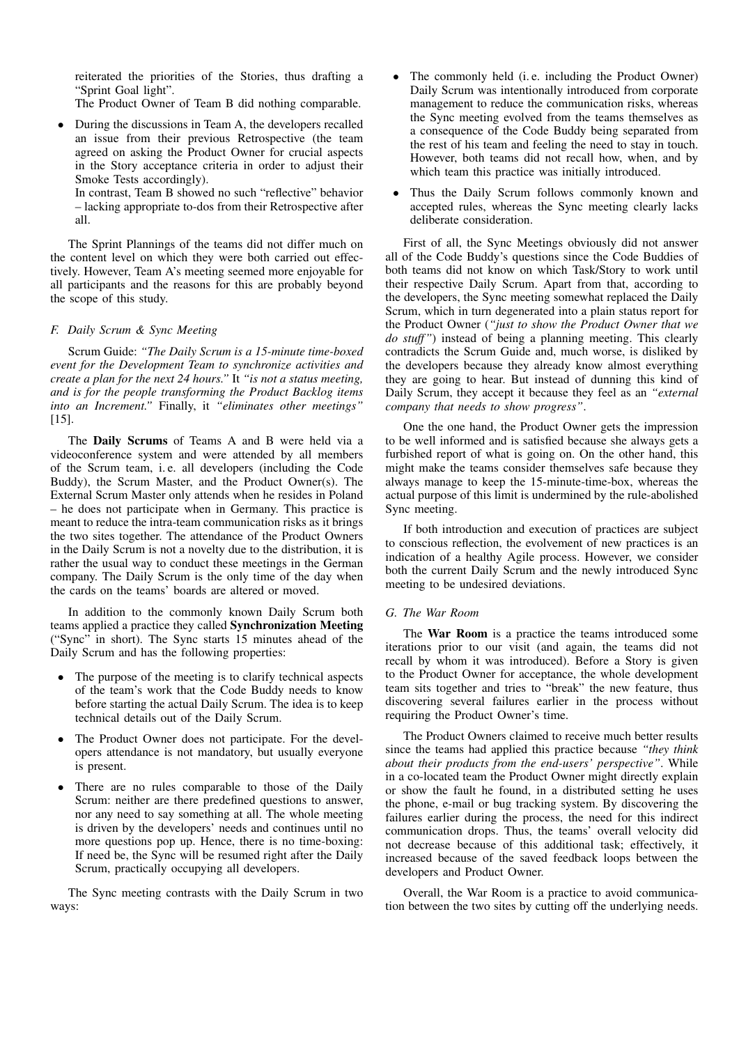reiterated the priorities of the Stories, thus drafting a "Sprint Goal light".

The Product Owner of Team B did nothing comparable.

• During the discussions in Team A, the developers recalled an issue from their previous Retrospective (the team agreed on asking the Product Owner for crucial aspects in the Story acceptance criteria in order to adjust their Smoke Tests accordingly).

In contrast, Team B showed no such "reflective" behavior – lacking appropriate to-dos from their Retrospective after all.

The Sprint Plannings of the teams did not differ much on the content level on which they were both carried out effectively. However, Team A's meeting seemed more enjoyable for all participants and the reasons for this are probably beyond the scope of this study.

#### *F. Daily Scrum & Sync Meeting*

Scrum Guide: *"The Daily Scrum is a 15-minute time-boxed event for the Development Team to synchronize activities and create a plan for the next 24 hours."* It *"is not a status meeting, and is for the people transforming the Product Backlog items into an Increment."* Finally, it *"eliminates other meetings"* [15].

The Daily Scrums of Teams A and B were held via a videoconference system and were attended by all members of the Scrum team, i. e. all developers (including the Code Buddy), the Scrum Master, and the Product Owner(s). The External Scrum Master only attends when he resides in Poland – he does not participate when in Germany. This practice is meant to reduce the intra-team communication risks as it brings the two sites together. The attendance of the Product Owners in the Daily Scrum is not a novelty due to the distribution, it is rather the usual way to conduct these meetings in the German company. The Daily Scrum is the only time of the day when the cards on the teams' boards are altered or moved.

In addition to the commonly known Daily Scrum both teams applied a practice they called Synchronization Meeting ("Sync" in short). The Sync starts 15 minutes ahead of the Daily Scrum and has the following properties:

- The purpose of the meeting is to clarify technical aspects of the team's work that the Code Buddy needs to know before starting the actual Daily Scrum. The idea is to keep technical details out of the Daily Scrum.
- The Product Owner does not participate. For the developers attendance is not mandatory, but usually everyone is present.
- There are no rules comparable to those of the Daily Scrum: neither are there predefined questions to answer, nor any need to say something at all. The whole meeting is driven by the developers' needs and continues until no more questions pop up. Hence, there is no time-boxing: If need be, the Sync will be resumed right after the Daily Scrum, practically occupying all developers.

The Sync meeting contrasts with the Daily Scrum in two ways:

- The commonly held (i.e. including the Product Owner) Daily Scrum was intentionally introduced from corporate management to reduce the communication risks, whereas the Sync meeting evolved from the teams themselves as a consequence of the Code Buddy being separated from the rest of his team and feeling the need to stay in touch. However, both teams did not recall how, when, and by which team this practice was initially introduced.
- Thus the Daily Scrum follows commonly known and accepted rules, whereas the Sync meeting clearly lacks deliberate consideration.

First of all, the Sync Meetings obviously did not answer all of the Code Buddy's questions since the Code Buddies of both teams did not know on which Task/Story to work until their respective Daily Scrum. Apart from that, according to the developers, the Sync meeting somewhat replaced the Daily Scrum, which in turn degenerated into a plain status report for the Product Owner (*"just to show the Product Owner that we do stuff"*) instead of being a planning meeting. This clearly contradicts the Scrum Guide and, much worse, is disliked by the developers because they already know almost everything they are going to hear. But instead of dunning this kind of Daily Scrum, they accept it because they feel as an *"external company that needs to show progress"*.

One the one hand, the Product Owner gets the impression to be well informed and is satisfied because she always gets a furbished report of what is going on. On the other hand, this might make the teams consider themselves safe because they always manage to keep the 15-minute-time-box, whereas the actual purpose of this limit is undermined by the rule-abolished Sync meeting.

If both introduction and execution of practices are subject to conscious reflection, the evolvement of new practices is an indication of a healthy Agile process. However, we consider both the current Daily Scrum and the newly introduced Sync meeting to be undesired deviations.

#### *G. The War Room*

The War Room is a practice the teams introduced some iterations prior to our visit (and again, the teams did not recall by whom it was introduced). Before a Story is given to the Product Owner for acceptance, the whole development team sits together and tries to "break" the new feature, thus discovering several failures earlier in the process without requiring the Product Owner's time.

The Product Owners claimed to receive much better results since the teams had applied this practice because *"they think about their products from the end-users' perspective"*. While in a co-located team the Product Owner might directly explain or show the fault he found, in a distributed setting he uses the phone, e-mail or bug tracking system. By discovering the failures earlier during the process, the need for this indirect communication drops. Thus, the teams' overall velocity did not decrease because of this additional task; effectively, it increased because of the saved feedback loops between the developers and Product Owner.

Overall, the War Room is a practice to avoid communication between the two sites by cutting off the underlying needs.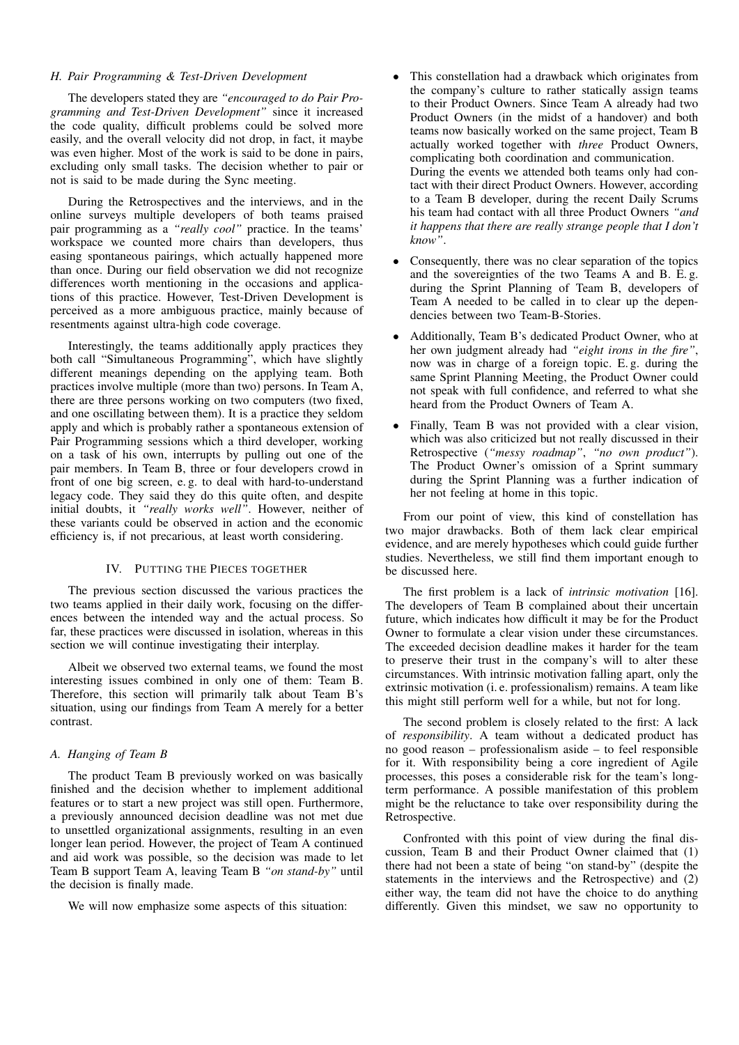## *H. Pair Programming & Test-Driven Development*

The developers stated they are *"encouraged to do Pair Programming and Test-Driven Development"* since it increased the code quality, difficult problems could be solved more easily, and the overall velocity did not drop, in fact, it maybe was even higher. Most of the work is said to be done in pairs, excluding only small tasks. The decision whether to pair or not is said to be made during the Sync meeting.

During the Retrospectives and the interviews, and in the online surveys multiple developers of both teams praised pair programming as a *"really cool"* practice. In the teams' workspace we counted more chairs than developers, thus easing spontaneous pairings, which actually happened more than once. During our field observation we did not recognize differences worth mentioning in the occasions and applications of this practice. However, Test-Driven Development is perceived as a more ambiguous practice, mainly because of resentments against ultra-high code coverage.

Interestingly, the teams additionally apply practices they both call "Simultaneous Programming", which have slightly different meanings depending on the applying team. Both practices involve multiple (more than two) persons. In Team A, there are three persons working on two computers (two fixed, and one oscillating between them). It is a practice they seldom apply and which is probably rather a spontaneous extension of Pair Programming sessions which a third developer, working on a task of his own, interrupts by pulling out one of the pair members. In Team B, three or four developers crowd in front of one big screen, e. g. to deal with hard-to-understand legacy code. They said they do this quite often, and despite initial doubts, it *"really works well"*. However, neither of these variants could be observed in action and the economic efficiency is, if not precarious, at least worth considering.

# IV. PUTTING THE PIECES TOGETHER

The previous section discussed the various practices the two teams applied in their daily work, focusing on the differences between the intended way and the actual process. So far, these practices were discussed in isolation, whereas in this section we will continue investigating their interplay.

Albeit we observed two external teams, we found the most interesting issues combined in only one of them: Team B. Therefore, this section will primarily talk about Team B's situation, using our findings from Team A merely for a better contrast.

## *A. Hanging of Team B*

The product Team B previously worked on was basically finished and the decision whether to implement additional features or to start a new project was still open. Furthermore, a previously announced decision deadline was not met due to unsettled organizational assignments, resulting in an even longer lean period. However, the project of Team A continued and aid work was possible, so the decision was made to let Team B support Team A, leaving Team B *"on stand-by"* until the decision is finally made.

We will now emphasize some aspects of this situation:

- This constellation had a drawback which originates from the company's culture to rather statically assign teams to their Product Owners. Since Team A already had two Product Owners (in the midst of a handover) and both teams now basically worked on the same project, Team B actually worked together with *three* Product Owners, complicating both coordination and communication. During the events we attended both teams only had contact with their direct Product Owners. However, according to a Team B developer, during the recent Daily Scrums his team had contact with all three Product Owners *"and it happens that there are really strange people that I don't know"*.
- Consequently, there was no clear separation of the topics and the sovereignties of the two Teams A and B. E. g. during the Sprint Planning of Team B, developers of Team A needed to be called in to clear up the dependencies between two Team-B-Stories.
- Additionally, Team B's dedicated Product Owner, who at her own judgment already had *"eight irons in the fire"*, now was in charge of a foreign topic. E. g. during the same Sprint Planning Meeting, the Product Owner could not speak with full confidence, and referred to what she heard from the Product Owners of Team A.
- Finally, Team B was not provided with a clear vision, which was also criticized but not really discussed in their Retrospective (*"messy roadmap"*, *"no own product"*). The Product Owner's omission of a Sprint summary during the Sprint Planning was a further indication of her not feeling at home in this topic.

From our point of view, this kind of constellation has two major drawbacks. Both of them lack clear empirical evidence, and are merely hypotheses which could guide further studies. Nevertheless, we still find them important enough to be discussed here.

The first problem is a lack of *intrinsic motivation* [16]. The developers of Team B complained about their uncertain future, which indicates how difficult it may be for the Product Owner to formulate a clear vision under these circumstances. The exceeded decision deadline makes it harder for the team to preserve their trust in the company's will to alter these circumstances. With intrinsic motivation falling apart, only the extrinsic motivation (i. e. professionalism) remains. A team like this might still perform well for a while, but not for long.

The second problem is closely related to the first: A lack of *responsibility*. A team without a dedicated product has no good reason – professionalism aside – to feel responsible for it. With responsibility being a core ingredient of Agile processes, this poses a considerable risk for the team's longterm performance. A possible manifestation of this problem might be the reluctance to take over responsibility during the Retrospective.

Confronted with this point of view during the final discussion, Team B and their Product Owner claimed that (1) there had not been a state of being "on stand-by" (despite the statements in the interviews and the Retrospective) and (2) either way, the team did not have the choice to do anything differently. Given this mindset, we saw no opportunity to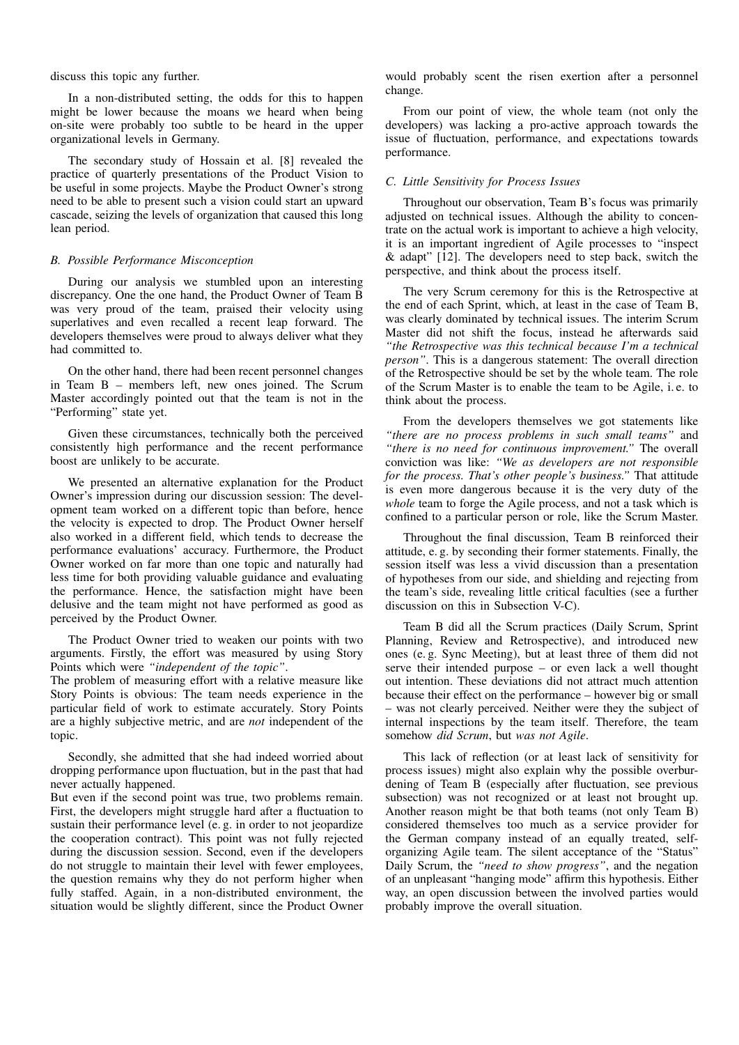discuss this topic any further.

In a non-distributed setting, the odds for this to happen might be lower because the moans we heard when being on-site were probably too subtle to be heard in the upper organizational levels in Germany.

The secondary study of Hossain et al. [8] revealed the practice of quarterly presentations of the Product Vision to be useful in some projects. Maybe the Product Owner's strong need to be able to present such a vision could start an upward cascade, seizing the levels of organization that caused this long lean period.

#### *B. Possible Performance Misconception*

During our analysis we stumbled upon an interesting discrepancy. One the one hand, the Product Owner of Team B was very proud of the team, praised their velocity using superlatives and even recalled a recent leap forward. The developers themselves were proud to always deliver what they had committed to.

On the other hand, there had been recent personnel changes in Team B – members left, new ones joined. The Scrum Master accordingly pointed out that the team is not in the "Performing" state yet.

Given these circumstances, technically both the perceived consistently high performance and the recent performance boost are unlikely to be accurate.

We presented an alternative explanation for the Product Owner's impression during our discussion session: The development team worked on a different topic than before, hence the velocity is expected to drop. The Product Owner herself also worked in a different field, which tends to decrease the performance evaluations' accuracy. Furthermore, the Product Owner worked on far more than one topic and naturally had less time for both providing valuable guidance and evaluating the performance. Hence, the satisfaction might have been delusive and the team might not have performed as good as perceived by the Product Owner.

The Product Owner tried to weaken our points with two arguments. Firstly, the effort was measured by using Story Points which were *"independent of the topic"*.

The problem of measuring effort with a relative measure like Story Points is obvious: The team needs experience in the particular field of work to estimate accurately. Story Points are a highly subjective metric, and are *not* independent of the topic.

Secondly, she admitted that she had indeed worried about dropping performance upon fluctuation, but in the past that had never actually happened.

But even if the second point was true, two problems remain. First, the developers might struggle hard after a fluctuation to sustain their performance level (e. g. in order to not jeopardize the cooperation contract). This point was not fully rejected during the discussion session. Second, even if the developers do not struggle to maintain their level with fewer employees, the question remains why they do not perform higher when fully staffed. Again, in a non-distributed environment, the situation would be slightly different, since the Product Owner would probably scent the risen exertion after a personnel change.

From our point of view, the whole team (not only the developers) was lacking a pro-active approach towards the issue of fluctuation, performance, and expectations towards performance.

## *C. Little Sensitivity for Process Issues*

Throughout our observation, Team B's focus was primarily adjusted on technical issues. Although the ability to concentrate on the actual work is important to achieve a high velocity, it is an important ingredient of Agile processes to "inspect & adapt" [12]. The developers need to step back, switch the perspective, and think about the process itself.

The very Scrum ceremony for this is the Retrospective at the end of each Sprint, which, at least in the case of Team B, was clearly dominated by technical issues. The interim Scrum Master did not shift the focus, instead he afterwards said *"the Retrospective was this technical because I'm a technical person"*. This is a dangerous statement: The overall direction of the Retrospective should be set by the whole team. The role of the Scrum Master is to enable the team to be Agile, i. e. to think about the process.

From the developers themselves we got statements like *"there are no process problems in such small teams"* and *"there is no need for continuous improvement."* The overall conviction was like: *"We as developers are not responsible for the process. That's other people's business."* That attitude is even more dangerous because it is the very duty of the *whole* team to forge the Agile process, and not a task which is confined to a particular person or role, like the Scrum Master.

Throughout the final discussion, Team B reinforced their attitude, e. g. by seconding their former statements. Finally, the session itself was less a vivid discussion than a presentation of hypotheses from our side, and shielding and rejecting from the team's side, revealing little critical faculties (see a further discussion on this in Subsection V-C).

Team B did all the Scrum practices (Daily Scrum, Sprint Planning, Review and Retrospective), and introduced new ones (e. g. Sync Meeting), but at least three of them did not serve their intended purpose – or even lack a well thought out intention. These deviations did not attract much attention because their effect on the performance – however big or small – was not clearly perceived. Neither were they the subject of internal inspections by the team itself. Therefore, the team somehow *did Scrum*, but *was not Agile*.

This lack of reflection (or at least lack of sensitivity for process issues) might also explain why the possible overburdening of Team B (especially after fluctuation, see previous subsection) was not recognized or at least not brought up. Another reason might be that both teams (not only Team B) considered themselves too much as a service provider for the German company instead of an equally treated, selforganizing Agile team. The silent acceptance of the "Status" Daily Scrum, the *"need to show progress"*, and the negation of an unpleasant "hanging mode" affirm this hypothesis. Either way, an open discussion between the involved parties would probably improve the overall situation.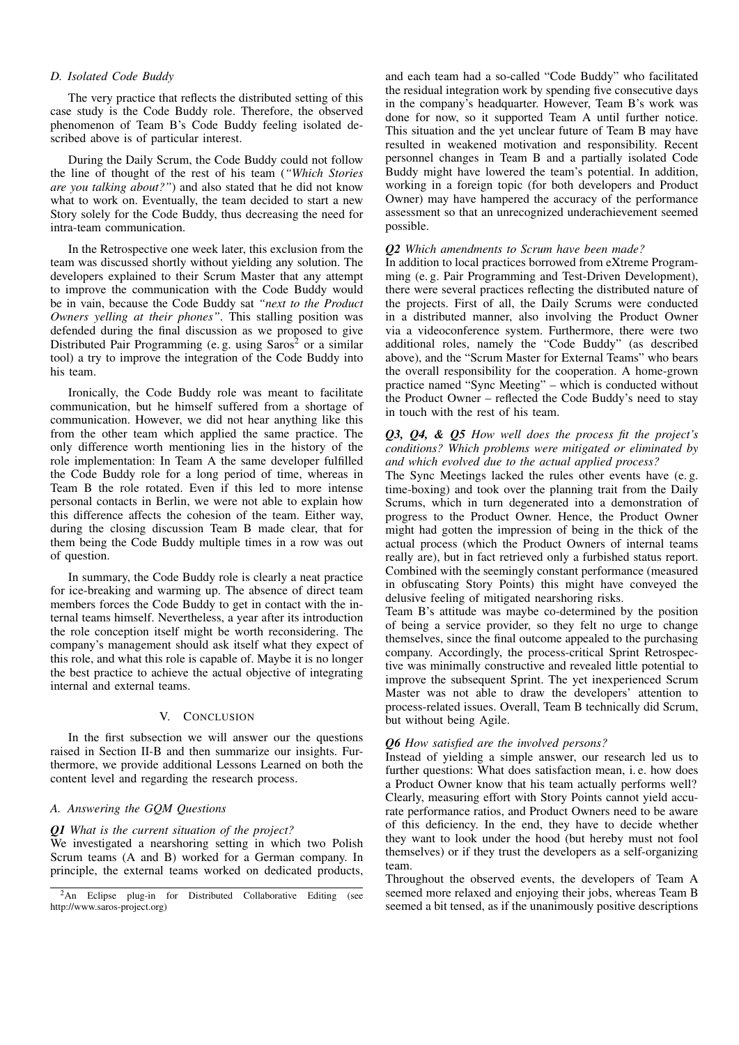## *D. Isolated Code Buddy*

The very practice that reflects the distributed setting of this case study is the Code Buddy role. Therefore, the observed phenomenon of Team B's Code Buddy feeling isolated described above is of particular interest.

During the Daily Scrum, the Code Buddy could not follow the line of thought of the rest of his team (*"Which Stories are you talking about?"*) and also stated that he did not know what to work on. Eventually, the team decided to start a new Story solely for the Code Buddy, thus decreasing the need for intra-team communication.

In the Retrospective one week later, this exclusion from the team was discussed shortly without yielding any solution. The developers explained to their Scrum Master that any attempt to improve the communication with the Code Buddy would be in vain, because the Code Buddy sat *"next to the Product Owners yelling at their phones"*. This stalling position was defended during the final discussion as we proposed to give Distributed Pair Programming (e.g. using  $Saros<sup>2</sup>$  or a similar tool) a try to improve the integration of the Code Buddy into his team.

Ironically, the Code Buddy role was meant to facilitate communication, but he himself suffered from a shortage of communication. However, we did not hear anything like this from the other team which applied the same practice. The only difference worth mentioning lies in the history of the role implementation: In Team A the same developer fulfilled the Code Buddy role for a long period of time, whereas in Team B the role rotated. Even if this led to more intense personal contacts in Berlin, we were not able to explain how this difference affects the cohesion of the team. Either way, during the closing discussion Team B made clear, that for them being the Code Buddy multiple times in a row was out of question.

In summary, the Code Buddy role is clearly a neat practice for ice-breaking and warming up. The absence of direct team members forces the Code Buddy to get in contact with the internal teams himself. Nevertheless, a year after its introduction the role conception itself might be worth reconsidering. The company's management should ask itself what they expect of this role, and what this role is capable of. Maybe it is no longer the best practice to achieve the actual objective of integrating internal and external teams.

# V. CONCLUSION

In the first subsection we will answer our the questions raised in Section II-B and then summarize our insights. Furthermore, we provide additional Lessons Learned on both the content level and regarding the research process.

# *A. Answering the GQM Questions*

# *Q1 What is the current situation of the project?* We investigated a nearshoring setting in which two Polish Scrum teams (A and B) worked for a German company. In principle, the external teams worked on dedicated products,

and each team had a so-called "Code Buddy" who facilitated the residual integration work by spending five consecutive days in the company's headquarter. However, Team B's work was done for now, so it supported Team A until further notice. This situation and the yet unclear future of Team B may have resulted in weakened motivation and responsibility. Recent personnel changes in Team B and a partially isolated Code Buddy might have lowered the team's potential. In addition, working in a foreign topic (for both developers and Product Owner) may have hampered the accuracy of the performance assessment so that an unrecognized underachievement seemed possible.

#### *Q2 Which amendments to Scrum have been made?*

In addition to local practices borrowed from eXtreme Programming (e. g. Pair Programming and Test-Driven Development), there were several practices reflecting the distributed nature of the projects. First of all, the Daily Scrums were conducted in a distributed manner, also involving the Product Owner via a videoconference system. Furthermore, there were two additional roles, namely the "Code Buddy" (as described above), and the "Scrum Master for External Teams" who bears the overall responsibility for the cooperation. A home-grown practice named "Sync Meeting" – which is conducted without the Product Owner – reflected the Code Buddy's need to stay in touch with the rest of his team.

# *Q3, Q4, & Q5 How well does the process fit the project's conditions? Which problems were mitigated or eliminated by and which evolved due to the actual applied process?*

The Sync Meetings lacked the rules other events have (e. g. time-boxing) and took over the planning trait from the Daily Scrums, which in turn degenerated into a demonstration of progress to the Product Owner. Hence, the Product Owner might had gotten the impression of being in the thick of the actual process (which the Product Owners of internal teams really are), but in fact retrieved only a furbished status report. Combined with the seemingly constant performance (measured in obfuscating Story Points) this might have conveyed the delusive feeling of mitigated nearshoring risks.

Team B's attitude was maybe co-determined by the position of being a service provider, so they felt no urge to change themselves, since the final outcome appealed to the purchasing company. Accordingly, the process-critical Sprint Retrospective was minimally constructive and revealed little potential to improve the subsequent Sprint. The yet inexperienced Scrum Master was not able to draw the developers' attention to process-related issues. Overall, Team B technically did Scrum, but without being Agile.

# *Q6 How satisfied are the involved persons?*

Instead of yielding a simple answer, our research led us to further questions: What does satisfaction mean, i. e. how does a Product Owner know that his team actually performs well? Clearly, measuring effort with Story Points cannot yield accurate performance ratios, and Product Owners need to be aware of this deficiency. In the end, they have to decide whether they want to look under the hood (but hereby must not fool themselves) or if they trust the developers as a self-organizing team.

Throughout the observed events, the developers of Team A seemed more relaxed and enjoying their jobs, whereas Team B seemed a bit tensed, as if the unanimously positive descriptions

<sup>&</sup>lt;sup>2</sup>An Eclipse plug-in for Distributed Collaborative Editing (see http://www.saros-project.org)